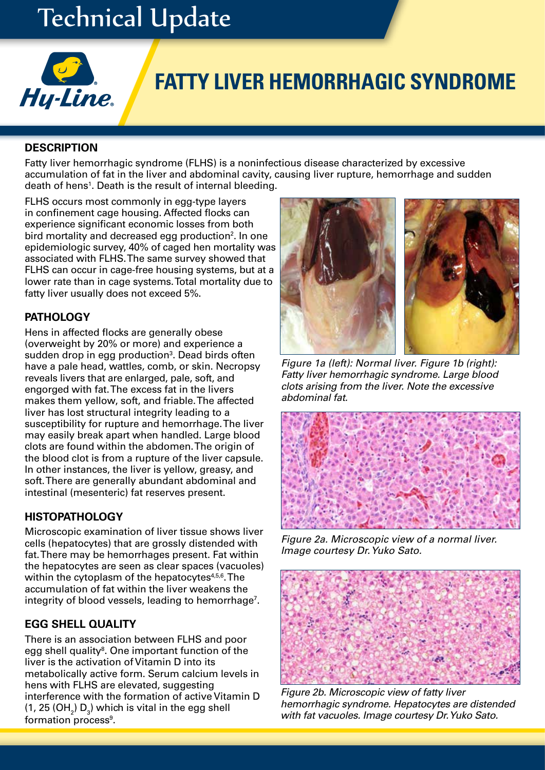# Technical Update



## **FATTY LIVER HEMORRHAGIC SYNDROME**

#### **DESCRIPTION**

Fatty liver hemorrhagic syndrome (FLHS) is a noninfectious disease characterized by excessive accumulation of fat in the liver and abdominal cavity, causing liver rupture, hemorrhage and sudden death of hens<sup>1</sup>. Death is the result of internal bleeding.

FLHS occurs most commonly in egg-type layers in confinement cage housing. Affected flocks can experience significant economic losses from both bird mortality and decreased egg production<sup>2</sup>. In one epidemiologic survey, 40% of caged hen mortality was associated with FLHS. The same survey showed that FLHS can occur in cage-free housing systems, but at a lower rate than in cage systems. Total mortality due to fatty liver usually does not exceed 5%.

## **PATHOLOGY**

Hens in affected flocks are generally obese (overweight by 20% or more) and experience a sudden drop in egg production<sup>3</sup>. Dead birds often have a pale head, wattles, comb, or skin. Necropsy reveals livers that are enlarged, pale, soft, and engorged with fat. The excess fat in the livers makes them yellow, soft, and friable. The affected liver has lost structural integrity leading to a susceptibility for rupture and hemorrhage. The liver may easily break apart when handled. Large blood clots are found within the abdomen. The origin of the blood clot is from a rupture of the liver capsule. In other instances, the liver is yellow, greasy, and soft. There are generally abundant abdominal and intestinal (mesenteric) fat reserves present.

## **HISTOPATHOLOGY**

Microscopic examination of liver tissue shows liver cells (hepatocytes) that are grossly distended with fat. There may be hemorrhages present. Fat within the hepatocytes are seen as clear spaces (vacuoles) within the cytoplasm of the hepatocytes $4,5,6$ . The accumulation of fat within the liver weakens the integrity of blood vessels, leading to hemorrhage<sup>7</sup>.

## **EGG SHELL QUALITY**

There is an association between FLHS and poor egg shell quality<sup>8</sup>. One important function of the liver is the activation of Vitamin D into its metabolically active form. Serum calcium levels in hens with FLHS are elevated, suggesting interference with the formation of active Vitamin D (1, 25 (OH $_{2}$ ) D $_{3}$ ) which is vital in the egg shell formation process<sup>9</sup>.



*Figure 1a (left): Normal liver. Figure 1b (right): Fatty liver hemorrhagic syndrome. Large blood clots arising from the liver. Note the excessive abdominal fat.*



*Figure 2a. Microscopic view of a normal liver. Image courtesy Dr. Yuko Sato.*



*Figure 2b. Microscopic view of fatty liver hemorrhagic syndrome. Hepatocytes are distended with fat vacuoles. Image courtesy Dr. Yuko Sato.*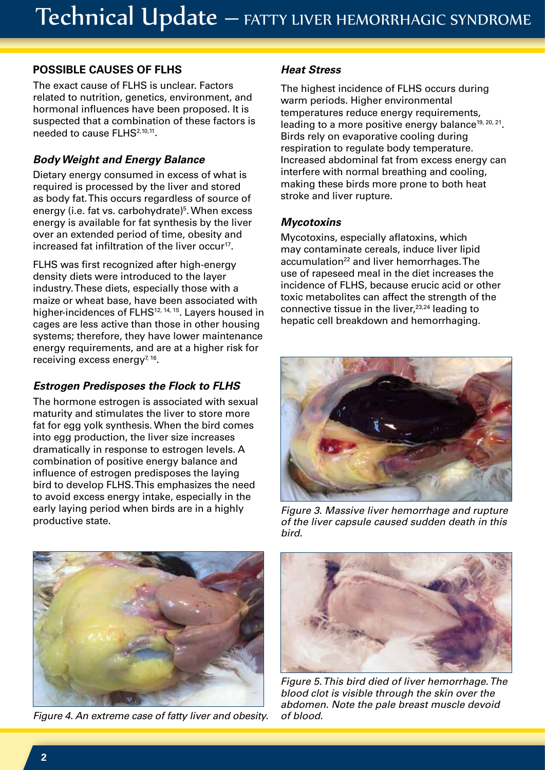## **POSSIBLE CAUSES OF FLHS**

The exact cause of FLHS is unclear. Factors related to nutrition, genetics, environment, and hormonal influences have been proposed. It is suspected that a combination of these factors is needed to cause FLHS<sup>2,10,11</sup>.

## *Body Weight and Energy Balance*

Dietary energy consumed in excess of what is required is processed by the liver and stored as body fat. This occurs regardless of source of energy (i.e. fat vs. carbohydrate)<sup>5</sup>. When excess energy is available for fat synthesis by the liver over an extended period of time, obesity and increased fat infiltration of the liver occur<sup>17</sup>.

FLHS was first recognized after high-energy density diets were introduced to the layer industry. These diets, especially those with a maize or wheat base, have been associated with higher-incidences of FLHS<sup>12, 14, 15</sup>. Layers housed in cages are less active than those in other housing systems; therefore, they have lower maintenance energy requirements, and are at a higher risk for receiving excess energy $7.16$ .

## *Estrogen Predisposes the Flock to FLHS*

The hormone estrogen is associated with sexual maturity and stimulates the liver to store more fat for egg yolk synthesis. When the bird comes into egg production, the liver size increases dramatically in response to estrogen levels. A combination of positive energy balance and influence of estrogen predisposes the laying bird to develop FLHS. This emphasizes the need to avoid excess energy intake, especially in the early laying period when birds are in a highly productive state.



*Figure 4. An extreme case of fatty liver and obesity.*

#### *Heat Stress*

The highest incidence of FLHS occurs during warm periods. Higher environmental temperatures reduce energy requirements, leading to a more positive energy balance<sup>19, 20, 21</sup>. Birds rely on evaporative cooling during respiration to regulate body temperature. Increased abdominal fat from excess energy can interfere with normal breathing and cooling, making these birds more prone to both heat stroke and liver rupture.

## *Mycotoxins*

Mycotoxins, especially aflatoxins, which may contaminate cereals, induce liver lipid accumulation<sup>22</sup> and liver hemorrhages. The use of rapeseed meal in the diet increases the incidence of FLHS, because erucic acid or other toxic metabolites can affect the strength of the connective tissue in the liver, $23,24$  leading to hepatic cell breakdown and hemorrhaging.



*Figure 3. Massive liver hemorrhage and rupture of the liver capsule caused sudden death in this bird.*



*Figure 5. This bird died of liver hemorrhage. The blood clot is visible through the skin over the abdomen. Note the pale breast muscle devoid of blood.*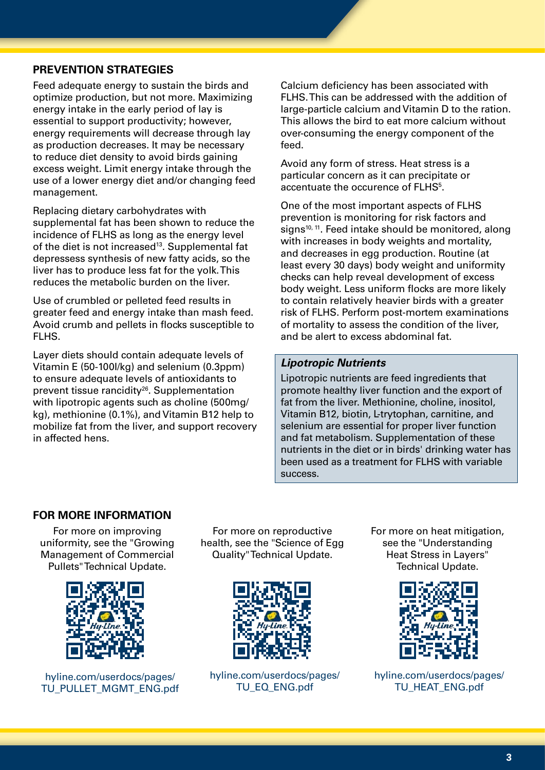#### **PREVENTION STRATEGIES**

Feed adequate energy to sustain the birds and optimize production, but not more. Maximizing energy intake in the early period of lay is essential to support productivity; however, energy requirements will decrease through lay as production decreases. It may be necessary to reduce diet density to avoid birds gaining excess weight. Limit energy intake through the use of a lower energy diet and/or changing feed management.

Replacing dietary carbohydrates with supplemental fat has been shown to reduce the incidence of FLHS as long as the energy level of the diet is not increased<sup>13</sup>. Supplemental fat depressess synthesis of new fatty acids, so the liver has to produce less fat for the yolk. This reduces the metabolic burden on the liver.

Use of crumbled or pelleted feed results in greater feed and energy intake than mash feed. Avoid crumb and pellets in flocks susceptible to FLHS.

Layer diets should contain adequate levels of Vitamin E (50-100I/kg) and selenium (0.3ppm) to ensure adequate levels of antioxidants to prevent tissue rancidity<sup>26</sup>. Supplementation with lipotropic agents such as choline (500mg/ kg), methionine (0.1%), and Vitamin B12 help to mobilize fat from the liver, and support recovery in affected hens.

Calcium deficiency has been associated with FLHS. This can be addressed with the addition of large-particle calcium and Vitamin D to the ration. This allows the bird to eat more calcium without over-consuming the energy component of the feed.

Avoid any form of stress. Heat stress is a particular concern as it can precipitate or accentuate the occurence of FLHS<sup>5</sup>.

One of the most important aspects of FLHS prevention is monitoring for risk factors and signs<sup>10, 11</sup>. Feed intake should be monitored, along with increases in body weights and mortality, and decreases in egg production. Routine (at least every 30 days) body weight and uniformity checks can help reveal development of excess body weight. Less uniform flocks are more likely to contain relatively heavier birds with a greater risk of FLHS. Perform post-mortem examinations of mortality to assess the condition of the liver, and be alert to excess abdominal fat.

#### *Lipotropic Nutrients*

Lipotropic nutrients are feed ingredients that promote healthy liver function and the export of fat from the liver. Methionine, choline, inositol, Vitamin B12, biotin, L-trytophan, carnitine, and selenium are essential for proper liver function and fat metabolism. Supplementation of these nutrients in the diet or in birds' drinking water has been used as a treatment for FLHS with variable success.

#### **FOR MORE INFORMATION**

For more on improving uniformity, see the "Growing Management of Commercial Pullets" Technical Update.



hyline.com/userdocs/pages/ TU\_PULLET\_MGMT\_ENG.pdf

For more on reproductive health, see the "Science of Egg Quality" Technical Update.



hyline.com/userdocs/pages/ TU\_EQ\_ENG.pdf

For more on heat mitigation, see the "Understanding Heat Stress in Layers" Technical Update.



hyline.com/userdocs/pages/ TU\_HEAT\_ENG.pdf